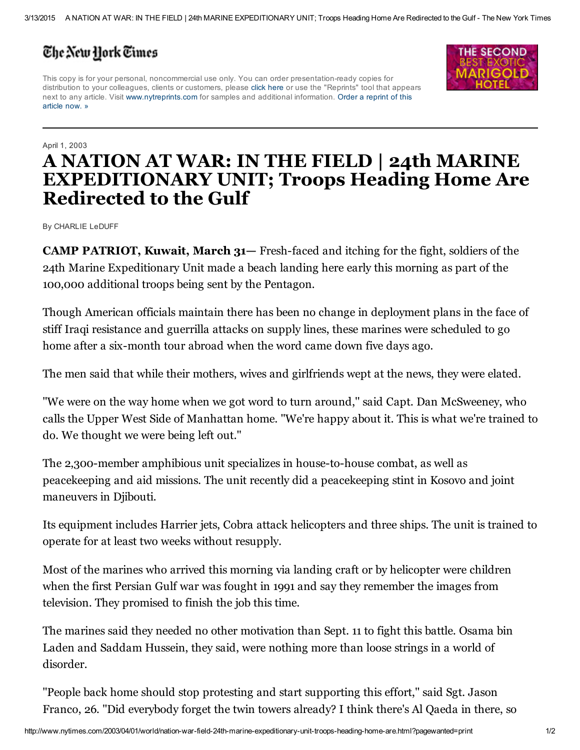## The New York Times

This copy is for your personal, noncommercial use only. You can order presentation-ready copies for distribution to your colleagues, clients or customers, please click here or use the "Reprints" tool that appears next to any article. Visit [www.nytreprints.com](http://www.nytreprints.com/) for samples and additional information. Order a reprint of this article now. »



## April 1, 2003 A NATION AT WAR: IN THE FIELD | 24th MARINE EXPEDITIONARY UNIT; Troops Heading Home Are Redirected to the Gulf

By CHARLIE LeDUFF

**CAMP PATRIOT, Kuwait, March 31–** Fresh-faced and itching for the fight, soldiers of the 24th Marine Expeditionary Unit made a beach landing here early this morning as part of the 100,000 additional troops being sent by the Pentagon.

Though American officials maintain there has been no change in deployment plans in the face of stiff Iraqi resistance and guerrilla attacks on supply lines, these marines were scheduled to go home after a six-month tour abroad when the word came down five days ago.

The men said that while their mothers, wives and girlfriends wept at the news, they were elated.

''We were on the way home when we got word to turn around,'' said Capt. Dan McSweeney, who calls the Upper West Side of Manhattan home. ''We're happy about it. This is what we're trained to do. We thought we were being left out.''

The 2,300-member amphibious unit specializes in house-to-house combat, as well as peacekeeping and aid missions. The unit recently did a peacekeeping stint in Kosovo and joint maneuvers in Djibouti.

Its equipment includes Harrier jets, Cobra attack helicopters and three ships. The unit is trained to operate for at least two weeks without resupply.

Most of the marines who arrived this morning via landing craft or by helicopter were children when the first Persian Gulf war was fought in 1991 and say they remember the images from television. They promised to finish the job this time.

The marines said they needed no other motivation than Sept. 11 to fight this battle. Osama bin Laden and Saddam Hussein, they said, were nothing more than loose strings in a world of disorder.

''People back home should stop protesting and start supporting this effort,'' said Sgt. Jason Franco, 26. ''Did everybody forget the twin towers already? I think there's Al Qaeda in there, so